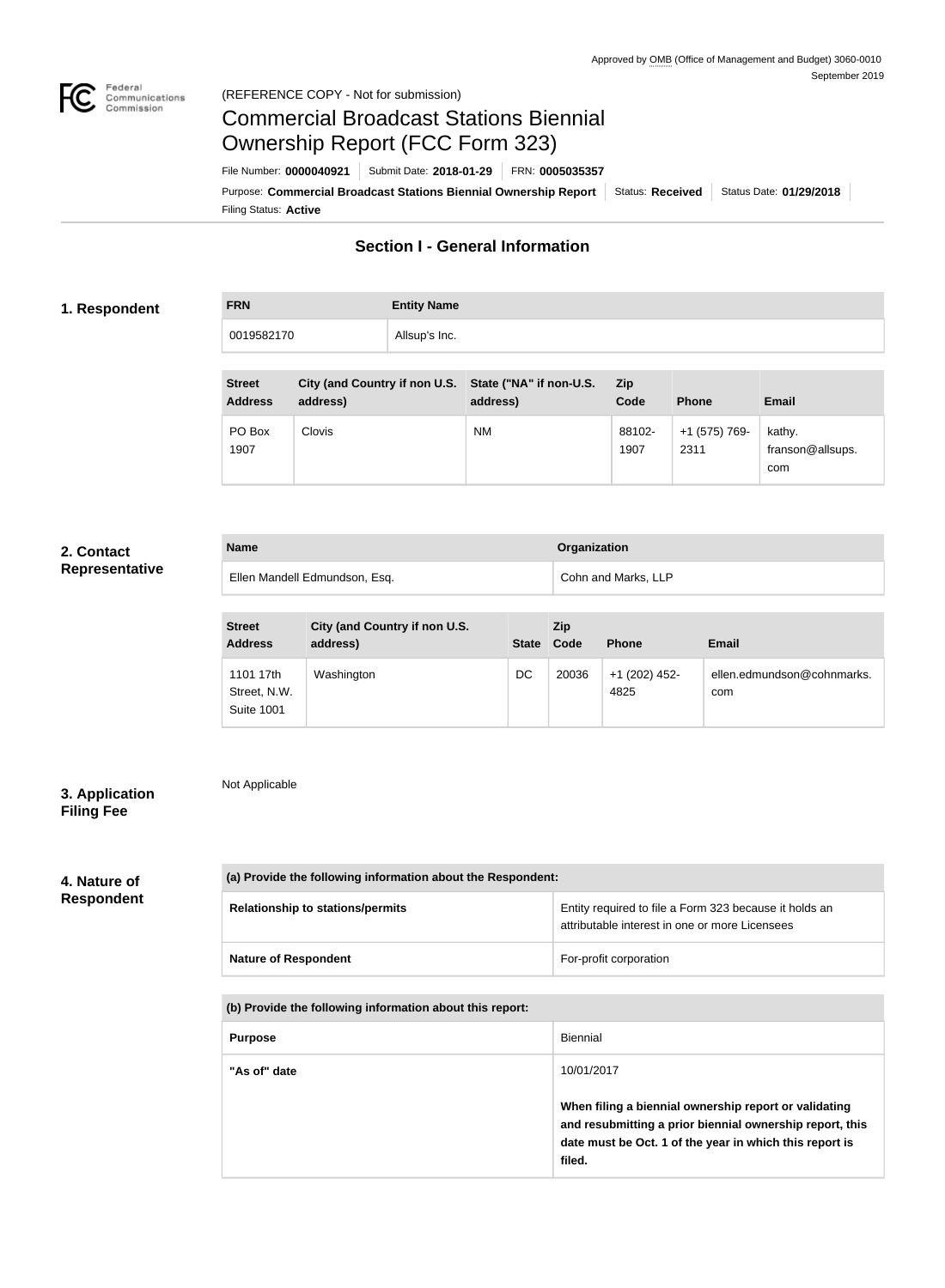

# Commercial Broadcast Stations Biennial Ownership Report (FCC Form 323)

Filing Status: **Active** Purpose: Commercial Broadcast Stations Biennial Ownership Report Status: Received Status Date: 01/29/2018 File Number: **0000040921** Submit Date: **2018-01-29** FRN: **0005035357**

### **Section I - General Information**

### **1. Respondent**

**FRN Entity Name** 0019582170 Allsup's Inc.

| <b>Street</b><br><b>Address</b> | City (and Country if non U.S. State ("NA" if non-U.S.<br>address) | address)  | <b>Zip</b><br>Code | <b>Phone</b>          | <b>Email</b>                      |
|---------------------------------|-------------------------------------------------------------------|-----------|--------------------|-----------------------|-----------------------------------|
| PO Box<br>1907                  | Clovis                                                            | <b>NM</b> | 88102-<br>1907     | +1 (575) 769-<br>2311 | kathy.<br>franson@allsups.<br>com |

### **2. Contact Representative**

| <b>Name</b>                   | <b>Organization</b> |
|-------------------------------|---------------------|
| Ellen Mandell Edmundson, Esq. | Cohn and Marks, LLP |

| <b>Street</b><br><b>Address</b>                | City (and Country if non U.S.<br>address) |    | <b>Zip</b><br>State Code | <b>Phone</b>          | <b>Email</b>                      |
|------------------------------------------------|-------------------------------------------|----|--------------------------|-----------------------|-----------------------------------|
| 1101 17th<br>Street, N.W.<br><b>Suite 1001</b> | Washington                                | DC | 20036                    | +1 (202) 452-<br>4825 | ellen.edmundson@cohnmarks.<br>com |

### **3. Application Filing Fee**

Not Applicable

### **4. Nature of Respondent**

| (a) Provide the following information about the Respondent: |                                                                                                          |  |
|-------------------------------------------------------------|----------------------------------------------------------------------------------------------------------|--|
| <b>Relationship to stations/permits</b>                     | Entity required to file a Form 323 because it holds an<br>attributable interest in one or more Licensees |  |
| <b>Nature of Respondent</b>                                 | For-profit corporation                                                                                   |  |

**(b) Provide the following information about this report:**

| <b>Purpose</b> | Biennial                                                                                                                                                                               |
|----------------|----------------------------------------------------------------------------------------------------------------------------------------------------------------------------------------|
| "As of" date   | 10/01/2017                                                                                                                                                                             |
|                | When filing a biennial ownership report or validating<br>and resubmitting a prior biennial ownership report, this<br>date must be Oct. 1 of the year in which this report is<br>filed. |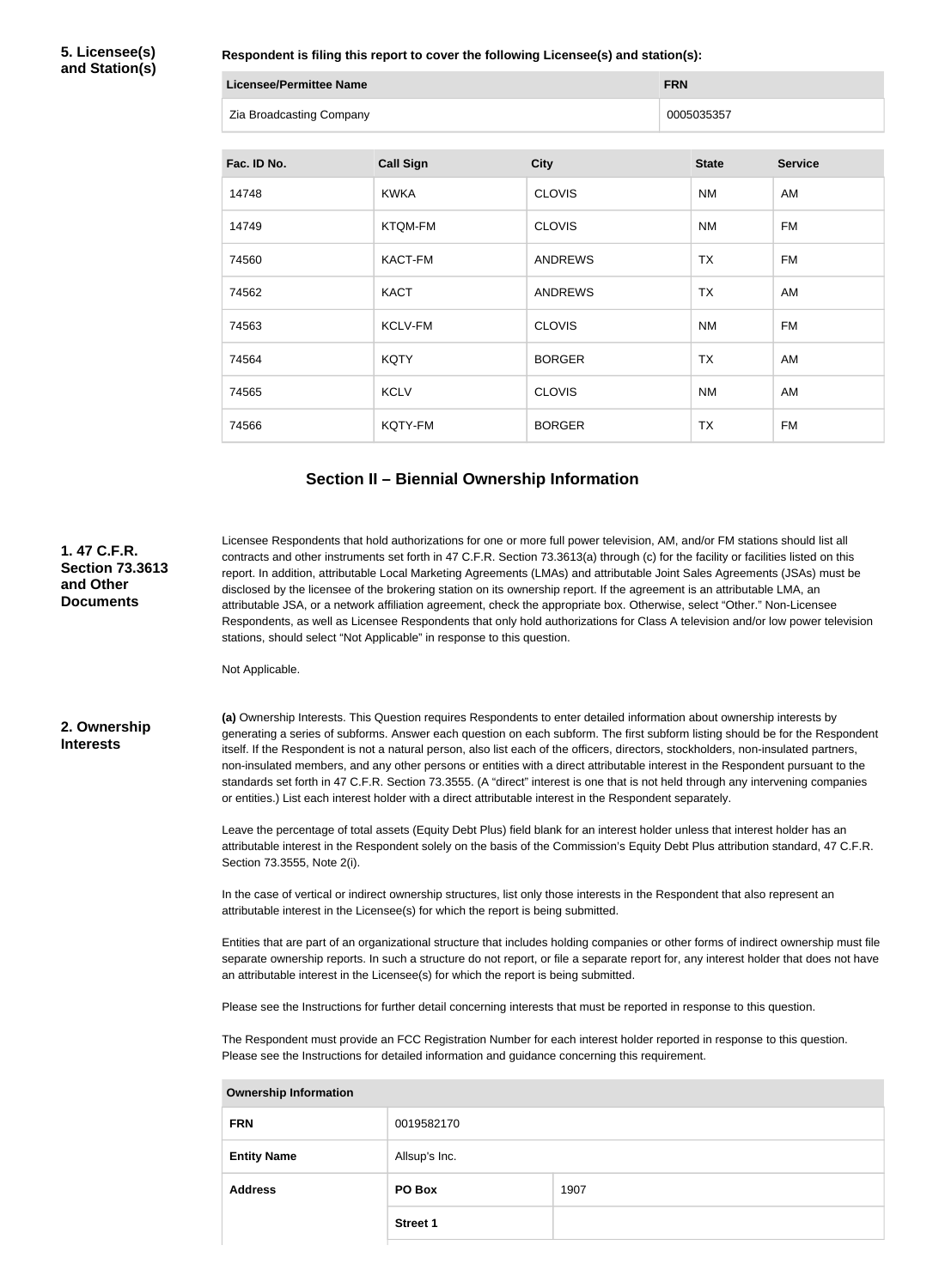**5. Licensee(s) and Station(s)**

**Respondent is filing this report to cover the following Licensee(s) and station(s):**

| Licensee/Permittee Name |                          | <b>FRN</b> |
|-------------------------|--------------------------|------------|
|                         | Zia Broadcasting Company | 0005035357 |

| Fac. ID No. | <b>Call Sign</b> | <b>City</b>    | <b>State</b> | <b>Service</b> |
|-------------|------------------|----------------|--------------|----------------|
| 14748       | <b>KWKA</b>      | <b>CLOVIS</b>  | <b>NM</b>    | AM             |
| 14749       | <b>KTQM-FM</b>   | <b>CLOVIS</b>  | <b>NM</b>    | <b>FM</b>      |
| 74560       | <b>KACT-FM</b>   | <b>ANDREWS</b> | <b>TX</b>    | <b>FM</b>      |
| 74562       | <b>KACT</b>      | <b>ANDREWS</b> | <b>TX</b>    | AM             |
| 74563       | KCLV-FM          | <b>CLOVIS</b>  | <b>NM</b>    | <b>FM</b>      |
| 74564       | <b>KQTY</b>      | <b>BORGER</b>  | TX           | AM             |
| 74565       | <b>KCLV</b>      | <b>CLOVIS</b>  | <b>NM</b>    | AM             |
| 74566       | KQTY-FM          | <b>BORGER</b>  | <b>TX</b>    | <b>FM</b>      |

## **Section II – Biennial Ownership Information**

| 1.47 C.F.R.<br><b>Section 73.3613</b><br>and Other<br><b>Documents</b> | Not Applicable.                                                                                                                                                                                                                                                                                                                                                                                                                                                                                                                                                                                                           | Licensee Respondents that hold authorizations for one or more full power television, AM, and/or FM stations should list all<br>contracts and other instruments set forth in 47 C.F.R. Section 73.3613(a) through (c) for the facility or facilities listed on this<br>report. In addition, attributable Local Marketing Agreements (LMAs) and attributable Joint Sales Agreements (JSAs) must be<br>disclosed by the licensee of the brokering station on its ownership report. If the agreement is an attributable LMA, an<br>attributable JSA, or a network affiliation agreement, check the appropriate box. Otherwise, select "Other." Non-Licensee<br>Respondents, as well as Licensee Respondents that only hold authorizations for Class A television and/or low power television<br>stations, should select "Not Applicable" in response to this question.                                                                                                                                                                                                                                                                                                                                                                                                          |      |  |
|------------------------------------------------------------------------|---------------------------------------------------------------------------------------------------------------------------------------------------------------------------------------------------------------------------------------------------------------------------------------------------------------------------------------------------------------------------------------------------------------------------------------------------------------------------------------------------------------------------------------------------------------------------------------------------------------------------|-----------------------------------------------------------------------------------------------------------------------------------------------------------------------------------------------------------------------------------------------------------------------------------------------------------------------------------------------------------------------------------------------------------------------------------------------------------------------------------------------------------------------------------------------------------------------------------------------------------------------------------------------------------------------------------------------------------------------------------------------------------------------------------------------------------------------------------------------------------------------------------------------------------------------------------------------------------------------------------------------------------------------------------------------------------------------------------------------------------------------------------------------------------------------------------------------------------------------------------------------------------------------------|------|--|
| 2. Ownership<br><b>Interests</b>                                       | Section 73.3555, Note 2(i).                                                                                                                                                                                                                                                                                                                                                                                                                                                                                                                                                                                               | (a) Ownership Interests. This Question requires Respondents to enter detailed information about ownership interests by<br>generating a series of subforms. Answer each question on each subform. The first subform listing should be for the Respondent<br>itself. If the Respondent is not a natural person, also list each of the officers, directors, stockholders, non-insulated partners,<br>non-insulated members, and any other persons or entities with a direct attributable interest in the Respondent pursuant to the<br>standards set forth in 47 C.F.R. Section 73.3555. (A "direct" interest is one that is not held through any intervening companies<br>or entities.) List each interest holder with a direct attributable interest in the Respondent separately.<br>Leave the percentage of total assets (Equity Debt Plus) field blank for an interest holder unless that interest holder has an<br>attributable interest in the Respondent solely on the basis of the Commission's Equity Debt Plus attribution standard, 47 C.F.R.<br>In the case of vertical or indirect ownership structures, list only those interests in the Respondent that also represent an<br>attributable interest in the Licensee(s) for which the report is being submitted. |      |  |
|                                                                        | Entities that are part of an organizational structure that includes holding companies or other forms of indirect ownership must file<br>separate ownership reports. In such a structure do not report, or file a separate report for, any interest holder that does not have<br>an attributable interest in the Licensee(s) for which the report is being submitted.<br>Please see the Instructions for further detail concerning interests that must be reported in response to this question.<br>The Respondent must provide an FCC Registration Number for each interest holder reported in response to this question. |                                                                                                                                                                                                                                                                                                                                                                                                                                                                                                                                                                                                                                                                                                                                                                                                                                                                                                                                                                                                                                                                                                                                                                                                                                                                             |      |  |
|                                                                        | Please see the Instructions for detailed information and guidance concerning this requirement.                                                                                                                                                                                                                                                                                                                                                                                                                                                                                                                            |                                                                                                                                                                                                                                                                                                                                                                                                                                                                                                                                                                                                                                                                                                                                                                                                                                                                                                                                                                                                                                                                                                                                                                                                                                                                             |      |  |
|                                                                        | <b>Ownership Information</b>                                                                                                                                                                                                                                                                                                                                                                                                                                                                                                                                                                                              |                                                                                                                                                                                                                                                                                                                                                                                                                                                                                                                                                                                                                                                                                                                                                                                                                                                                                                                                                                                                                                                                                                                                                                                                                                                                             |      |  |
|                                                                        | <b>FRN</b>                                                                                                                                                                                                                                                                                                                                                                                                                                                                                                                                                                                                                | 0019582170                                                                                                                                                                                                                                                                                                                                                                                                                                                                                                                                                                                                                                                                                                                                                                                                                                                                                                                                                                                                                                                                                                                                                                                                                                                                  |      |  |
|                                                                        | <b>Entity Name</b>                                                                                                                                                                                                                                                                                                                                                                                                                                                                                                                                                                                                        | Allsup's Inc.                                                                                                                                                                                                                                                                                                                                                                                                                                                                                                                                                                                                                                                                                                                                                                                                                                                                                                                                                                                                                                                                                                                                                                                                                                                               |      |  |
|                                                                        | <b>Address</b>                                                                                                                                                                                                                                                                                                                                                                                                                                                                                                                                                                                                            | PO Box                                                                                                                                                                                                                                                                                                                                                                                                                                                                                                                                                                                                                                                                                                                                                                                                                                                                                                                                                                                                                                                                                                                                                                                                                                                                      | 1907 |  |
|                                                                        |                                                                                                                                                                                                                                                                                                                                                                                                                                                                                                                                                                                                                           |                                                                                                                                                                                                                                                                                                                                                                                                                                                                                                                                                                                                                                                                                                                                                                                                                                                                                                                                                                                                                                                                                                                                                                                                                                                                             |      |  |

**Street 1**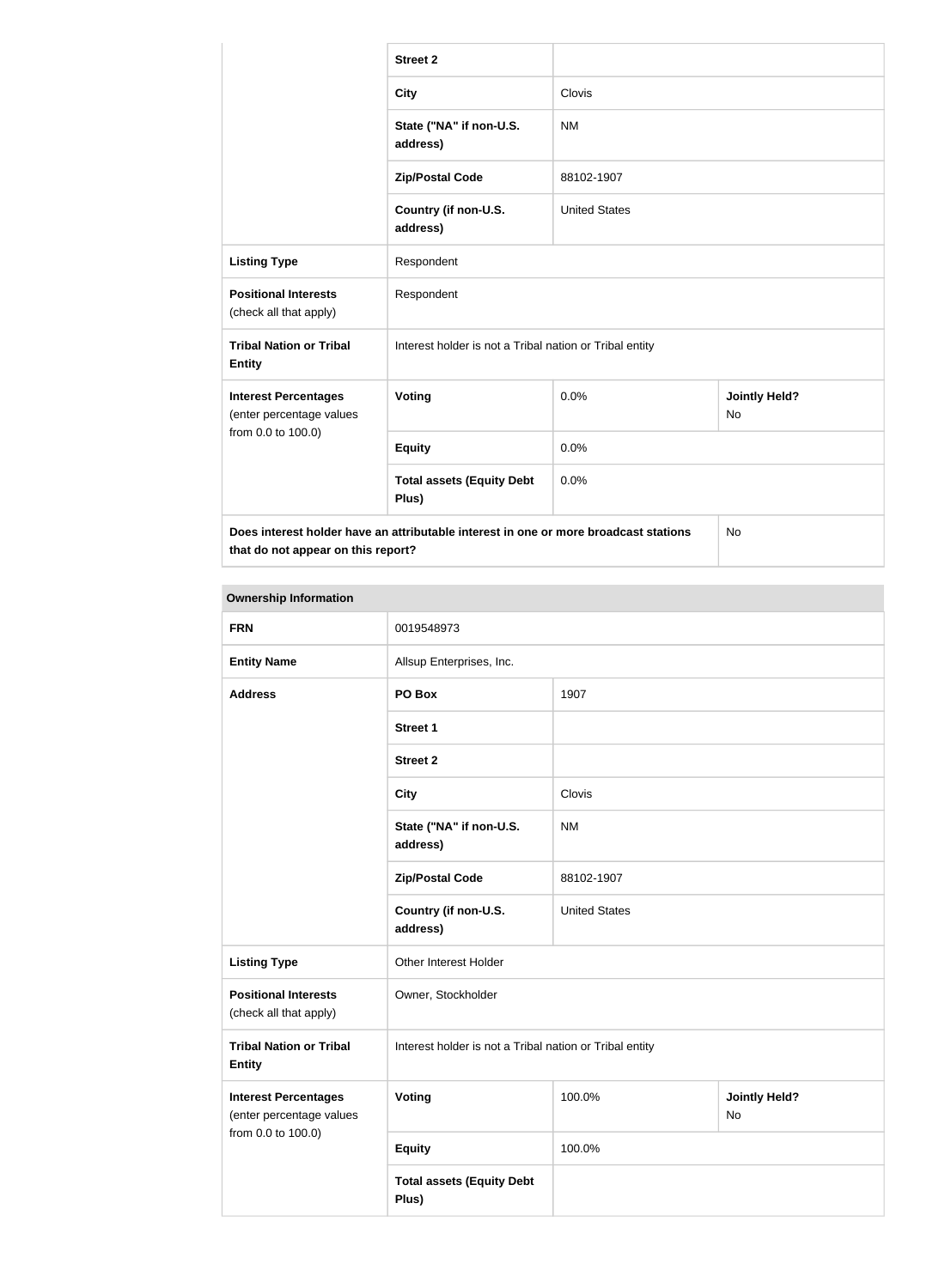|                                                         | <b>Street 2</b>                                                                      |                      |                                   |  |
|---------------------------------------------------------|--------------------------------------------------------------------------------------|----------------------|-----------------------------------|--|
|                                                         | <b>City</b>                                                                          | Clovis               |                                   |  |
|                                                         | State ("NA" if non-U.S.<br>address)                                                  | <b>NM</b>            |                                   |  |
|                                                         | <b>Zip/Postal Code</b>                                                               | 88102-1907           |                                   |  |
|                                                         | Country (if non-U.S.<br>address)                                                     | <b>United States</b> |                                   |  |
| <b>Listing Type</b>                                     | Respondent                                                                           |                      |                                   |  |
| <b>Positional Interests</b><br>(check all that apply)   | Respondent                                                                           |                      |                                   |  |
| <b>Tribal Nation or Tribal</b><br><b>Entity</b>         | Interest holder is not a Tribal nation or Tribal entity                              |                      |                                   |  |
| <b>Interest Percentages</b><br>(enter percentage values | Voting                                                                               | 0.0%                 | <b>Jointly Held?</b><br><b>No</b> |  |
| from 0.0 to 100.0)                                      | <b>Equity</b>                                                                        | 0.0%                 |                                   |  |
|                                                         | <b>Total assets (Equity Debt</b><br>Plus)                                            | 0.0%                 |                                   |  |
| that do not appear on this report?                      | Does interest holder have an attributable interest in one or more broadcast stations |                      | <b>No</b>                         |  |

### **Ownership Information**

| <b>FRN</b>                                              | 0019548973                                              |                      |                                   |
|---------------------------------------------------------|---------------------------------------------------------|----------------------|-----------------------------------|
| <b>Entity Name</b>                                      | Allsup Enterprises, Inc.                                |                      |                                   |
| <b>Address</b>                                          | PO Box                                                  | 1907                 |                                   |
|                                                         | <b>Street 1</b>                                         |                      |                                   |
|                                                         | <b>Street 2</b>                                         |                      |                                   |
|                                                         | <b>City</b>                                             | Clovis               |                                   |
|                                                         | State ("NA" if non-U.S.<br>address)                     | <b>NM</b>            |                                   |
|                                                         | <b>Zip/Postal Code</b>                                  | 88102-1907           |                                   |
|                                                         | Country (if non-U.S.<br>address)                        | <b>United States</b> |                                   |
| <b>Listing Type</b>                                     | Other Interest Holder                                   |                      |                                   |
| <b>Positional Interests</b><br>(check all that apply)   | Owner, Stockholder                                      |                      |                                   |
| <b>Tribal Nation or Tribal</b><br><b>Entity</b>         | Interest holder is not a Tribal nation or Tribal entity |                      |                                   |
| <b>Interest Percentages</b><br>(enter percentage values | <b>Voting</b>                                           | 100.0%               | <b>Jointly Held?</b><br><b>No</b> |
| from 0.0 to 100.0)                                      | <b>Equity</b>                                           | 100.0%               |                                   |
|                                                         | <b>Total assets (Equity Debt</b><br>Plus)               |                      |                                   |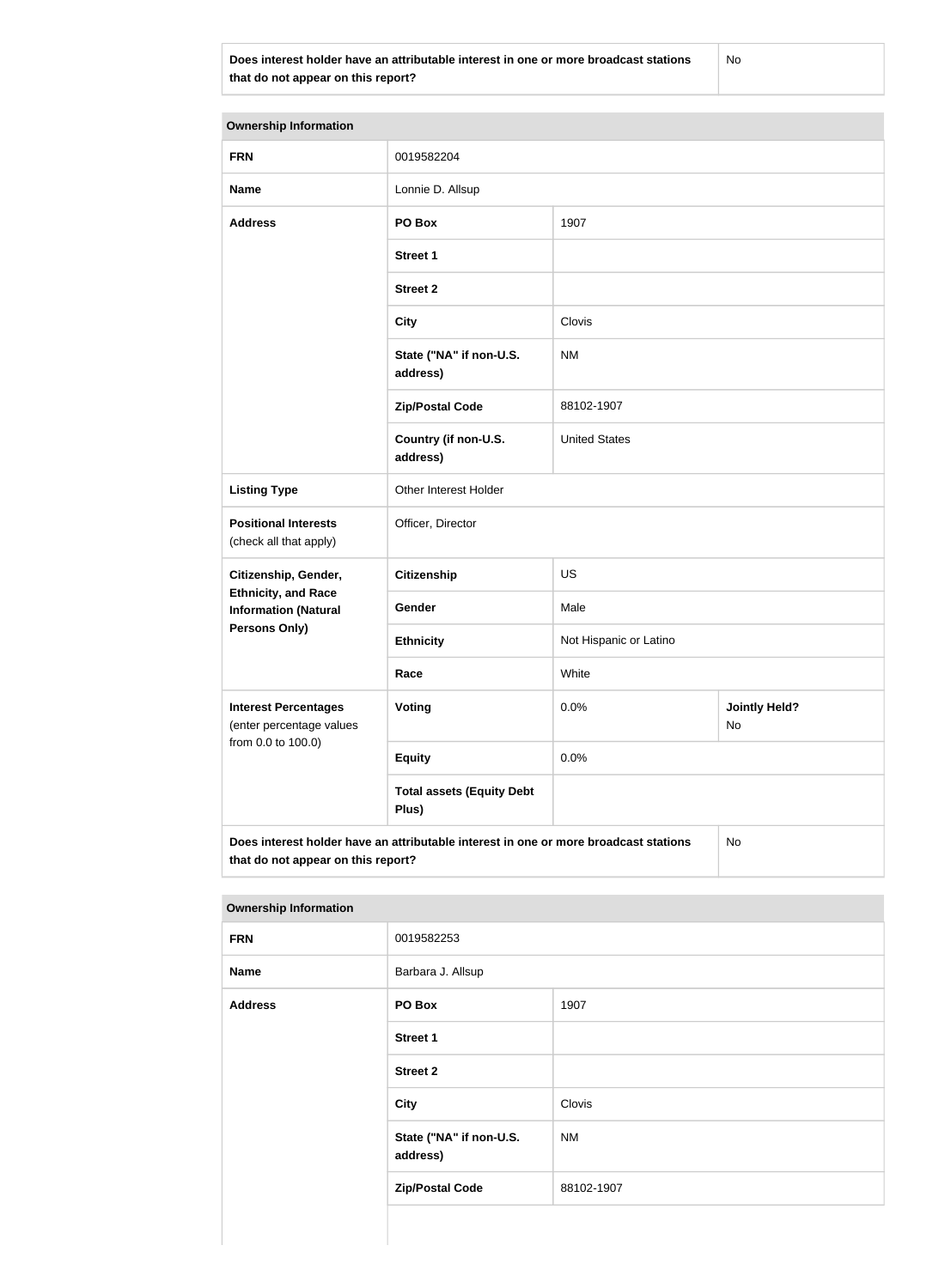**Does interest holder have an attributable interest in one or more broadcast stations that do not appear on this report?**

No

| <b>Ownership Information</b>                                                                                                     |                                           |                        |                            |  |
|----------------------------------------------------------------------------------------------------------------------------------|-------------------------------------------|------------------------|----------------------------|--|
| <b>FRN</b>                                                                                                                       | 0019582204                                |                        |                            |  |
| <b>Name</b>                                                                                                                      | Lonnie D. Allsup                          |                        |                            |  |
| <b>Address</b>                                                                                                                   | PO Box                                    | 1907                   |                            |  |
|                                                                                                                                  | <b>Street 1</b>                           |                        |                            |  |
|                                                                                                                                  | <b>Street 2</b>                           |                        |                            |  |
|                                                                                                                                  | <b>City</b>                               | Clovis                 |                            |  |
|                                                                                                                                  | State ("NA" if non-U.S.<br>address)       | <b>NM</b>              |                            |  |
|                                                                                                                                  | <b>Zip/Postal Code</b>                    | 88102-1907             |                            |  |
|                                                                                                                                  | Country (if non-U.S.<br>address)          | <b>United States</b>   |                            |  |
| <b>Listing Type</b>                                                                                                              | Other Interest Holder                     |                        |                            |  |
| <b>Positional Interests</b><br>(check all that apply)                                                                            | Officer, Director                         |                        |                            |  |
| Citizenship, Gender,                                                                                                             | <b>Citizenship</b>                        | <b>US</b>              |                            |  |
| <b>Ethnicity, and Race</b><br><b>Information (Natural</b>                                                                        | Gender                                    | Male                   |                            |  |
| <b>Persons Only)</b>                                                                                                             | <b>Ethnicity</b>                          | Not Hispanic or Latino |                            |  |
|                                                                                                                                  | Race                                      | White                  |                            |  |
| <b>Interest Percentages</b><br>(enter percentage values                                                                          | Voting                                    | 0.0%                   | <b>Jointly Held?</b><br>No |  |
| from 0.0 to 100.0)                                                                                                               | <b>Equity</b>                             | 0.0%                   |                            |  |
|                                                                                                                                  | <b>Total assets (Equity Debt</b><br>Plus) |                        |                            |  |
| Does interest holder have an attributable interest in one or more broadcast stations<br>No<br>that do not appear on this report? |                                           |                        |                            |  |

#### **Ownership Information**

| . .            |                                     |            |
|----------------|-------------------------------------|------------|
| <b>FRN</b>     | 0019582253                          |            |
| <b>Name</b>    | Barbara J. Allsup                   |            |
| <b>Address</b> | PO Box                              | 1907       |
|                | <b>Street 1</b>                     |            |
|                | <b>Street 2</b>                     |            |
|                | <b>City</b>                         | Clovis     |
|                | State ("NA" if non-U.S.<br>address) | <b>NM</b>  |
|                | <b>Zip/Postal Code</b>              | 88102-1907 |
|                |                                     |            |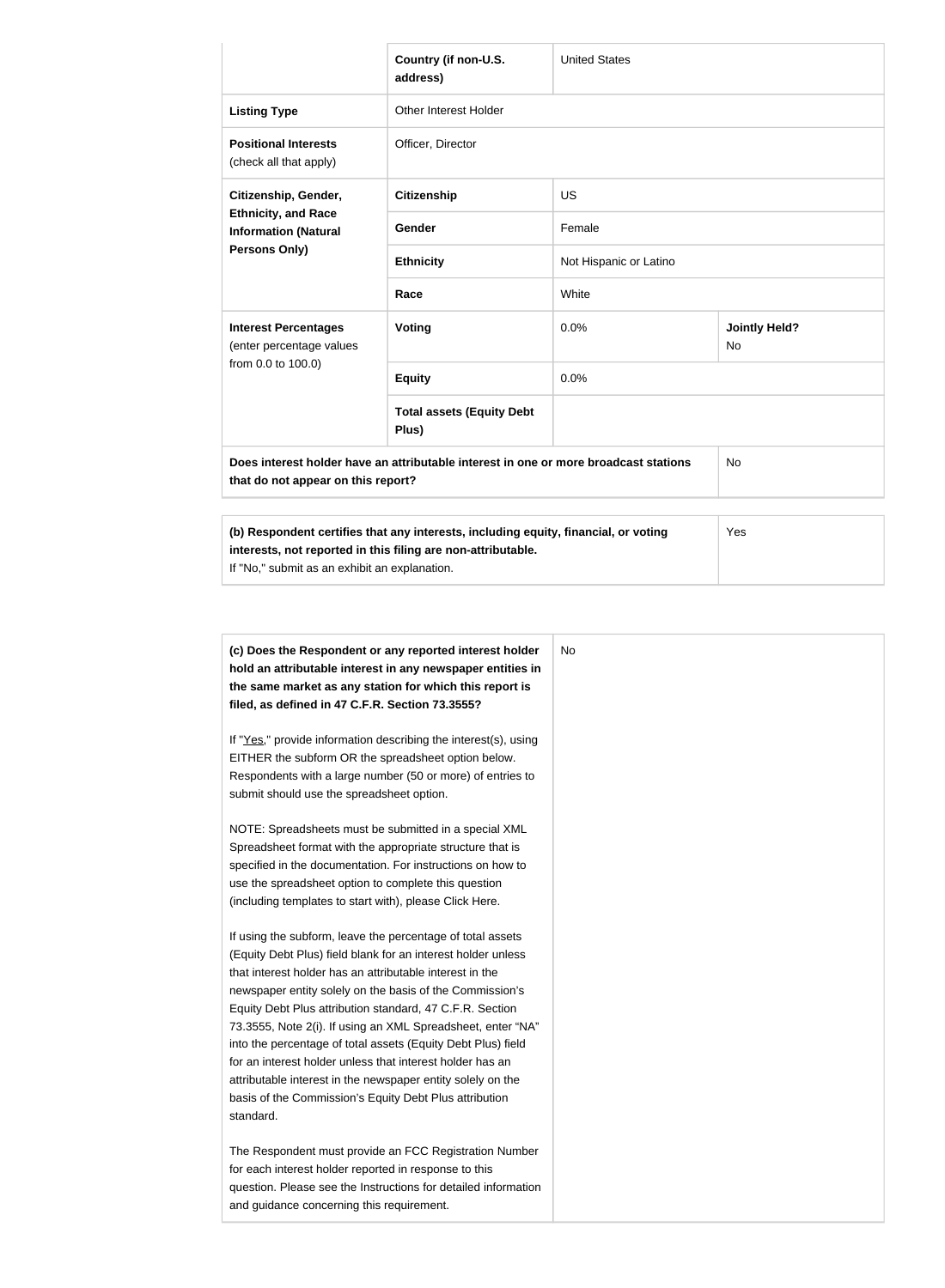|                                                                                                                                                                                                      | Country (if non-U.S.<br>address)          | <b>United States</b>   |                                   |  |
|------------------------------------------------------------------------------------------------------------------------------------------------------------------------------------------------------|-------------------------------------------|------------------------|-----------------------------------|--|
| <b>Listing Type</b>                                                                                                                                                                                  | <b>Other Interest Holder</b>              |                        |                                   |  |
| <b>Positional Interests</b><br>(check all that apply)                                                                                                                                                | Officer, Director                         |                        |                                   |  |
| Citizenship, Gender,<br><b>Ethnicity, and Race</b><br><b>Information (Natural</b><br>Persons Only)                                                                                                   | <b>Citizenship</b>                        | <b>US</b>              |                                   |  |
|                                                                                                                                                                                                      | <b>Gender</b>                             | Female                 |                                   |  |
|                                                                                                                                                                                                      | <b>Ethnicity</b>                          | Not Hispanic or Latino |                                   |  |
|                                                                                                                                                                                                      | Race                                      | White                  |                                   |  |
| <b>Interest Percentages</b><br>(enter percentage values<br>from 0.0 to 100.0)                                                                                                                        | Voting                                    | 0.0%                   | <b>Jointly Held?</b><br><b>No</b> |  |
|                                                                                                                                                                                                      | <b>Equity</b>                             | 0.0%                   |                                   |  |
|                                                                                                                                                                                                      | <b>Total assets (Equity Debt</b><br>Plus) |                        |                                   |  |
| Does interest holder have an attributable interest in one or more broadcast stations<br>that do not appear on this report?                                                                           | <b>No</b>                                 |                        |                                   |  |
| (b) Respondent certifies that any interests, including equity, financial, or voting<br>interests, not reported in this filing are non-attributable.<br>If "No," submit as an exhibit an explanation. | Yes                                       |                        |                                   |  |

| (c) Does the Respondent or any reported interest holder<br>hold an attributable interest in any newspaper entities in | No |
|-----------------------------------------------------------------------------------------------------------------------|----|
| the same market as any station for which this report is                                                               |    |
| filed, as defined in 47 C.F.R. Section 73.3555?                                                                       |    |
| If "Yes," provide information describing the interest(s), using                                                       |    |
| EITHER the subform OR the spreadsheet option below.                                                                   |    |
| Respondents with a large number (50 or more) of entries to                                                            |    |
| submit should use the spreadsheet option.                                                                             |    |
| NOTE: Spreadsheets must be submitted in a special XML                                                                 |    |
| Spreadsheet format with the appropriate structure that is                                                             |    |
| specified in the documentation. For instructions on how to                                                            |    |
| use the spreadsheet option to complete this question                                                                  |    |
| (including templates to start with), please Click Here.                                                               |    |
| If using the subform, leave the percentage of total assets                                                            |    |
| (Equity Debt Plus) field blank for an interest holder unless                                                          |    |
| that interest holder has an attributable interest in the                                                              |    |
| newspaper entity solely on the basis of the Commission's                                                              |    |
| Equity Debt Plus attribution standard, 47 C.F.R. Section                                                              |    |
| 73.3555, Note 2(i). If using an XML Spreadsheet, enter "NA"                                                           |    |
| into the percentage of total assets (Equity Debt Plus) field                                                          |    |
| for an interest holder unless that interest holder has an                                                             |    |
| attributable interest in the newspaper entity solely on the                                                           |    |
| basis of the Commission's Equity Debt Plus attribution                                                                |    |
| standard.                                                                                                             |    |
| The Respondent must provide an FCC Registration Number                                                                |    |
| for each interest holder reported in response to this                                                                 |    |
| question. Please see the Instructions for detailed information                                                        |    |
| and guidance concerning this requirement.                                                                             |    |